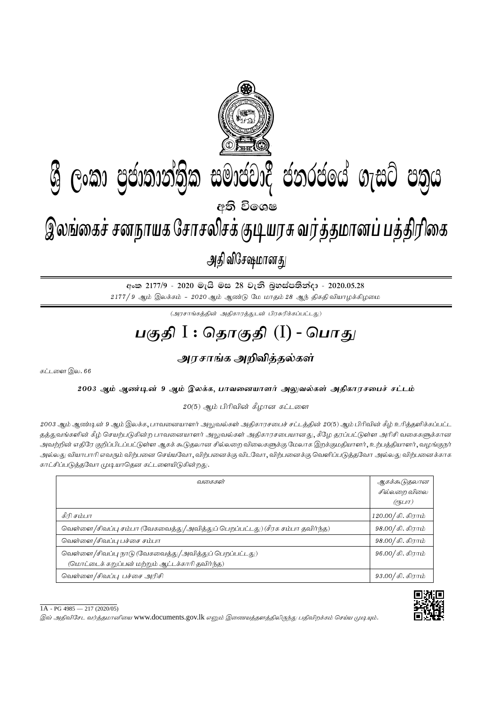

අංක 2177/9 - 2020 මැයි මස 28 වැනි බූහස්පතින්දා - 2020.05.28  $2177/9$  ஆம் இலக்கம் -  $2020$  ஆம் ஆண்டு மே மாதம்  $28$  ஆந் திகதி வியாழக்கிழமை

 $(\mathcal{A}$ ரசாங்கத்தின் அதிகாரத்துடன் பிரசுரிக்கப்பட்டது)

## <u>பகுதி</u> I : தொகுதி (I) - பொது

## <u>அரசாங்க அறிவித்த</u>ல்கள்

கட்டளை இல.  $66$ 

2003 ஆம் ஆண்டின் 9 ஆம் இலக்க, பாவனையாளர் அலுவல்கள் அதிகாரசபைச் சட்டம்

 $20(5)$  ஆம் பிரிவின் கீழான கட்டளை

2003 ஆம் ஆண்டின் 9 ஆம் இலக்க, பாவனையாளர் அலுவல்கள் அதிகாரசபைச் சட்டத்தின் 20(5) ஆம் பிரிவின் கீழ் உரித்தளிக்கப்பட்ட தத்துவங்களின் கீழ் செயற்படுகின்ற பாவனையாளர் அலுவல்கள் அதிகாரசபையானது, கீழே தரப்பட்டுள்ள அரிசி வகைகளுக்கான அவற்றின் எதிரே குறிப்பிடப்பட்டுள்ள ஆகக் கூடுதலான சில்லறை விலைகளுக்கு மேலாக இறக்குமதியாளர், உற்பத்தியாளர், வழங்குநர் அல்லது வியாபாரி எவரும் விற்பனை செய்யவோ, விற்பனைக்கு விடவோ, விற்பனைக்கு வெளிப்படுத்தவோ அல்லது விற்பனைக்காக காட்சிப்படுத்தவோ முடியாதென கட்டளையிடுகின்றது.

| வகைகள்                                                                                                   | ஆகக்கூடுதலான<br>சில்லறை விலை<br>(?5LIT) |
|----------------------------------------------------------------------------------------------------------|-----------------------------------------|
| கீரி சம்பா                                                                                               | 120.00/கி. கிராம்                       |
| வெள்ளை/சிவப்பு சம்பா (வேகவைத்து/அவித்துப் பெறப்பட்டது) (சீரக சம்பா தவிர்ந்த)                             | 98.00/கி. கிராம்                        |
| வெள்ளை /சிவப்பு பச்சை சம்பா                                                                              | 98.00/கி. கிராம்                        |
| வெள்ளை/சிவப்பு நாடு (வேகவைத்து/அவித்துப் பெறப்பட்டது)<br>(மொட்டைக் கறுப்பன் மற்றும் ஆட்டக்காரி தவிர்ந்த) | 96.00/கி. கிராம்                        |
| வெள்ளை/சிவப்பு பச்சை அரிசி                                                                               | $93.00 /$ கி. கிராம்                    |

 $1A - PG 4985 - 217 (2020/05)$ 

இவ் அதிவிசேட வர்த்தமானியை www.documents.gov.lk எனும் இணையத்தளத்திலிருந்து பதிவிறக்கம் செய்ய முடியும்.